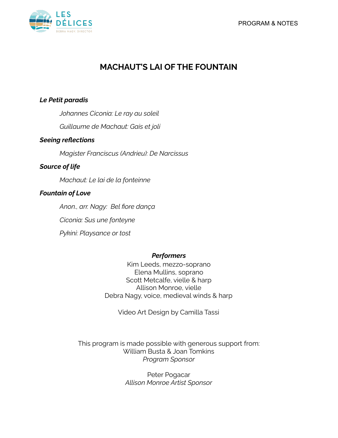

# **MACHAUT'S LAI OF THE FOUNTAIN**

# *Le Petit paradis*

*Johannes Ciconia: Le ray au soleil*

*Guillaume de Machaut: Gais et joli*

# *Seeing reflections*

*Magister Franciscus (Andrieu): De Narcissus*

# *Source of life*

*Machaut: Le lai de la fonteinne*

# *Fountain of Love*

*Anon., arr. Nagy: Bel fiore dança Ciconia: Sus une fonteyne Pykini: Playsance or tost*

# *Performers*

Kim Leeds, mezzo-soprano Elena Mullins, soprano Scott Metcalfe, vielle & harp Allison Monroe, vielle Debra Nagy, voice, medieval winds & harp

Video Art Design by Camilla Tassi

This program is made possible with generous support from: William Busta & Joan Tomkins *Program Sponsor*

> Peter Pogacar *Allison Monroe Artist Sponsor*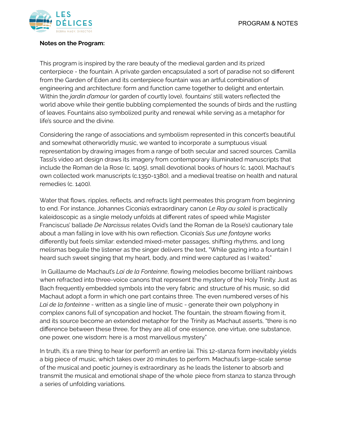

## **Notes on the Program:**

This program is inspired by the rare beauty of the medieval garden and its prized centerpiece - the fountain. A private garden encapsulated a sort of paradise not so different from the Garden of Eden and its centerpiece fountain was an artful combination of engineering and architecture: form and function came together to delight and entertain. Within the *jardin d'amour* (or garden of courtly love), fountains' still waters reflected the world above while their gentle bubbling complemented the sounds of birds and the rustling of leaves. Fountains also symbolized purity and renewal while serving as a metaphor for life's source and the divine.

Considering the range of associations and symbolism represented in this concert's beautiful and somewhat otherworldly music, we wanted to incorporate a sumptuous visual representation by drawing images from a range of both secular and sacred sources. Camilla Tassi's video art design draws its imagery from contemporary illuminated manuscripts that include the Roman de la Rose (c. 1405), small devotional books of hours (c. 1400), Machaut's own collected work manuscripts (c.1350-1380), and a medieval treatise on health and natural remedies (c. 1400).

Water that flows, ripples, reflects, and refracts light permeates this program from beginning to end. For instance, Johannes Ciconia's extraordinary canon *Le Ray au soleil* is practically kaleidoscopic as a single melody unfolds at different rates of speed while Magister Franciscus' ballade *De Narcissus* relates Ovid's (and the Roman de la Rose's) cautionary tale about a man falling in love with his own reflection. Ciconia's *Sus une fontayne* works differently but feels similar: extended mixed-meter passages, shifting rhythms, and long melismas beguile the listener as the singer delivers the text, "While gazing into a fountain I heard such sweet singing that my heart, body, and mind were captured as I waited."

In Guillaume de Machaut's *Lai de la Fonteinne*, flowing melodies become brilliant rainbows when refracted into three-voice canons that represent the mystery of the Holy Trinity. Just as Bach frequently embedded symbols into the very fabric and structure of his music, so did Machaut adopt a form in which one part contains three. The even numbered verses of his *Lai de la fonteinne* - written as a single line of music - generate their own polyphony in complex canons full of syncopation and hocket. The fountain, the stream flowing from it, and its source become an extended metaphor for the Trinity as Machaut asserts, "there is no difference between these three, for they are all of one essence, one virtue, one substance, one power, one wisdom: here is a most marvellous mystery."

In truth, it's a rare thing to hear (or perform!) an entire lai. This 12-stanza form inevitably yields a big piece of music, which takes over 20 minutes to perform. Machaut's large-scale sense of the musical and poetic journey is extraordinary as he leads the listener to absorb and transmit the musical and emotional shape of the whole piece from stanza to stanza through a series of unfolding variations.